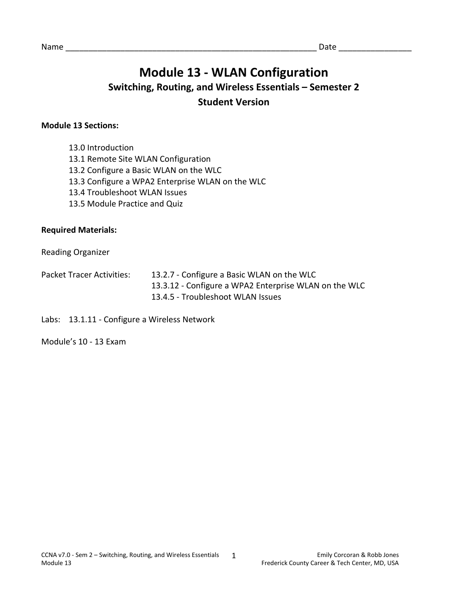# **Module 13 - WLAN Configuration Switching, Routing, and Wireless Essentials – Semester 2 Student Version**

#### **Module 13 Sections:**

- 13.0 Introduction
- 13.1 Remote Site WLAN Configuration
- 13.2 Configure a Basic WLAN on the WLC
- 13.3 Configure a WPA2 Enterprise WLAN on the WLC
- 13.4 Troubleshoot WLAN Issues
- 13.5 Module Practice and Quiz

#### **Required Materials:**

#### Reading Organizer

| Packet Tracer Activities: | 13.2.7 - Configure a Basic WLAN on the WLC            |
|---------------------------|-------------------------------------------------------|
|                           | 13.3.12 - Configure a WPA2 Enterprise WLAN on the WLC |
|                           | 13.4.5 - Troubleshoot WLAN Issues                     |

Labs: 13.1.11 - Configure a Wireless Network

Module's 10 - 13 Exam

1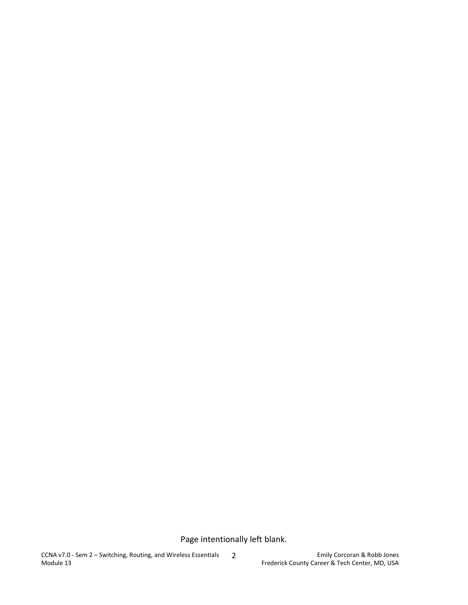Page intentionally left blank.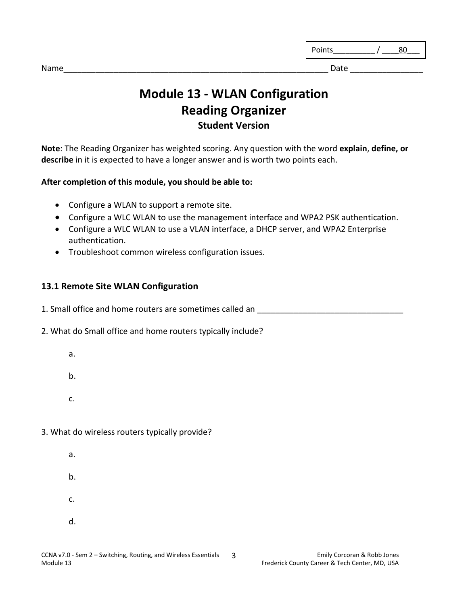| <b>Points</b> |  |
|---------------|--|
|               |  |

# **Module 13 - WLAN Configuration Reading Organizer Student Version**

**Note**: The Reading Organizer has weighted scoring. Any question with the word **explain**, **define, or describe** in it is expected to have a longer answer and is worth two points each.

### **After completion of this module, you should be able to:**

- Configure a WLAN to support a remote site.
- Configure a WLC WLAN to use the management interface and WPA2 PSK authentication.
- Configure a WLC WLAN to use a VLAN interface, a DHCP server, and WPA2 Enterprise authentication.
- Troubleshoot common wireless configuration issues.

## **13.1 Remote Site WLAN Configuration**

1. Small office and home routers are sometimes called an

- 2. What do Small office and home routers typically include?
	- a.
	-
	- b.
	- c.
- 3. What do wireless routers typically provide?
	- a.
	- b.
	- c.
	- d.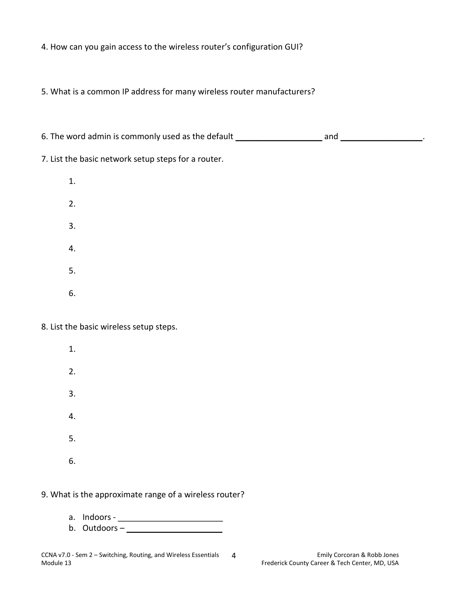4. How can you gain access to the wireless router's configuration GUI?

5. What is a common IP address for many wireless router manufacturers?

6. The word admin is commonly used as the default \_\_\_\_\_\_\_\_\_\_\_\_\_\_\_\_\_\_\_ and \_\_\_\_\_\_\_\_\_\_\_\_\_\_\_\_\_\_.

7. List the basic network setup steps for a router.

- 1. 2. 3. 4. 5.
- 6.

8. List the basic wireless setup steps.

- 1. 2. 3. 4. 5.
- 

6.

9. What is the approximate range of a wireless router?

- a. Indoors -
- b. Outdoors  $\overline{\phantom{a} \phantom{a} \phantom{a}}$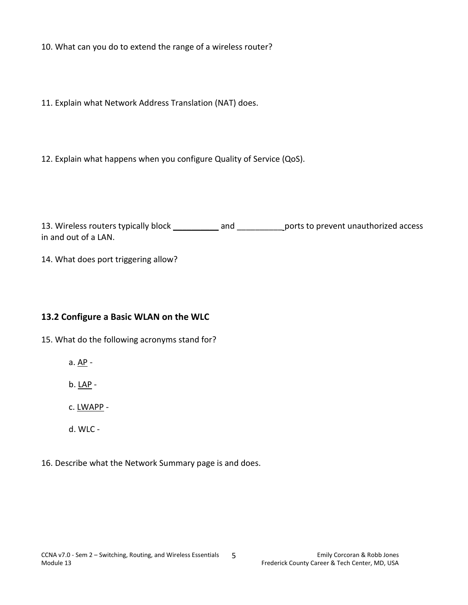10. What can you do to extend the range of a wireless router?

11. Explain what Network Address Translation (NAT) does.

12. Explain what happens when you configure Quality of Service (QoS).

13. Wireless routers typically block \_\_\_\_\_\_\_\_\_\_ and \_\_\_\_\_\_\_\_\_\_\_ ports to prevent unauthorized access in and out of a LAN.

14. What does port triggering allow?

## **13.2 Configure a Basic WLAN on the WLC**

15. What do the following [acronyms](https://www.google.com/search?rlz=1C1GCEU_enUS822US822&q=acronym&spell=1&sa=X&ved=2ahUKEwjMzMDSs47oAhVoj3IEHTlhC9gQkeECKAB6BAgUECY) stand for?

a. AP -

b. LAP -

c. LWAPP -

d. WLC -

16. Describe what the Network Summary page is and does.

5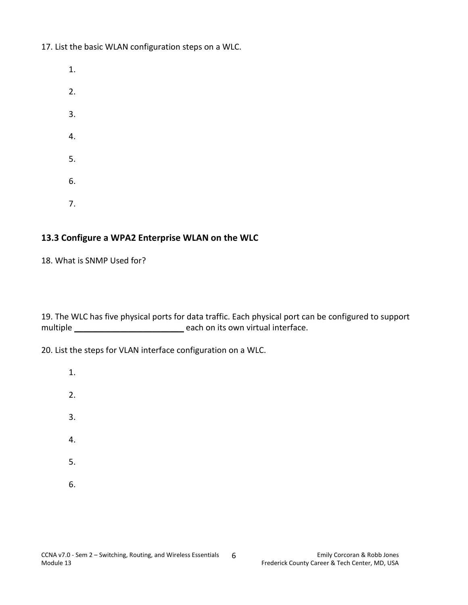17. List the basic WLAN configuration steps on a WLC.

1. 2. 3. 4. 5. 6. 7.

## **13.3 Configure a WPA2 Enterprise WLAN on the WLC**

18. What is SNMP Used for?

19. The WLC has five physical ports for data traffic. Each physical port can be configured to support multiple \_\_\_\_\_\_\_\_\_\_\_\_\_\_\_\_\_\_\_\_\_\_\_\_ each on its own virtual interface.

20. List the steps for VLAN interface configuration on a WLC.

- 1.
- 2.
- 3.
- 4.
- 5.
- 6.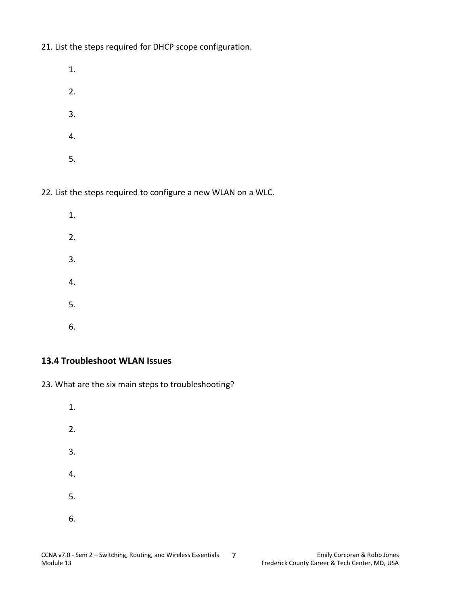21. List the steps required for DHCP scope configuration.

| 1. |  |  |  |
|----|--|--|--|
| 2. |  |  |  |
| 3. |  |  |  |
| 4. |  |  |  |
| 5. |  |  |  |

22. List the steps required to configure a new WLAN on a WLC.

| 1. |  |  |  |
|----|--|--|--|
| 2. |  |  |  |
| 3. |  |  |  |
| 4. |  |  |  |
| 5. |  |  |  |
| 6. |  |  |  |

## **13.4 Troubleshoot WLAN Issues**

23. What are the six main steps to troubleshooting?

1. 2. 3. 4. 5. 6.